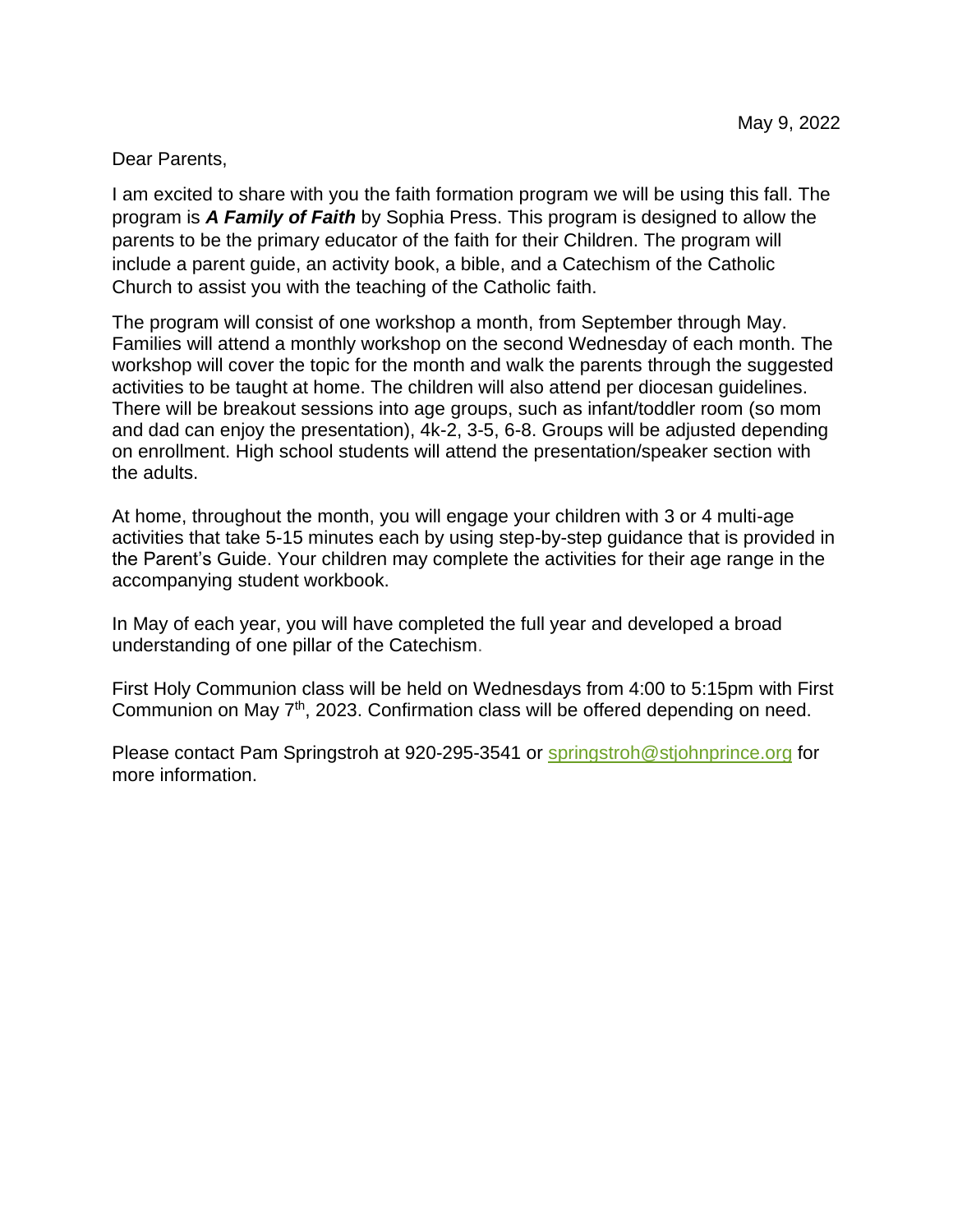Dear Parents,

I am excited to share with you the faith formation program we will be using this fall. The program is *A Family of Faith* by Sophia Press. This program is designed to allow the parents to be the primary educator of the faith for their Children. The program will include a parent guide, an activity book, a bible, and a Catechism of the Catholic Church to assist you with the teaching of the Catholic faith.

The program will consist of one workshop a month, from September through May. Families will attend a monthly workshop on the second Wednesday of each month. The workshop will cover the topic for the month and walk the parents through the suggested activities to be taught at home. The children will also attend per diocesan guidelines. There will be breakout sessions into age groups, such as infant/toddler room (so mom and dad can enjoy the presentation), 4k-2, 3-5, 6-8. Groups will be adjusted depending on enrollment. High school students will attend the presentation/speaker section with the adults.

At home, throughout the month, you will engage your children with 3 or 4 multi-age activities that take 5-15 minutes each by using step-by-step guidance that is provided in the Parent's Guide. Your children may complete the activities for their age range in the accompanying student workbook.

In May of each year, you will have completed the full year and developed a broad understanding of one pillar of the Catechism.

First Holy Communion class will be held on Wednesdays from 4:00 to 5:15pm with First Communion on May 7<sup>th</sup>, 2023. Confirmation class will be offered depending on need.

Please contact Pam Springstroh at 920-295-3541 or [springstroh@stjohnprince.org](mailto:springstroh@stjohnprince.org) for more information.